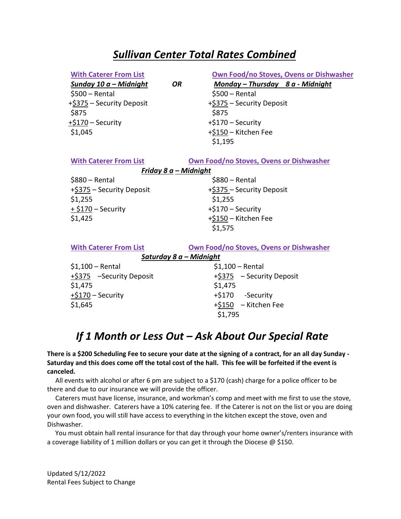### *Sullivan Center Total Rates Combined*

|  | <b>With Caterer From List</b> |  |  |
|--|-------------------------------|--|--|
|--|-------------------------------|--|--|

 $$500 - Rental$  \$500 – Rental +\$375 – Security Deposit +\$375 – Security Deposit \$875 \$875  $+ $170 -$  Security  $+ $170 -$  Security  $$1,045$   $+ $150 -$  Kitchen Fee

#### **Own Food/no Stoves, Ovens or Dishwasher**

*Sunday 10 a – Midnight OR Monday – Thursday 8 a - Midnight* 

\$1,195

| <b>With Caterer From List</b> | Own Food/no Stoves, Ovens or Dishwasher |  |  |  |
|-------------------------------|-----------------------------------------|--|--|--|
| Friday $8a$ – Midnight        |                                         |  |  |  |
| $$880 - Rental$               | $$880 - Rental$                         |  |  |  |
| +\$375 - Security Deposit     | +\$375 – Security Deposit               |  |  |  |
| \$1,255                       | \$1,255                                 |  |  |  |
| + \$170 – Security            | +\$170 – Security                       |  |  |  |
| \$1,425                       | +\$150 - Kitchen Fee                    |  |  |  |
|                               | \$1,575                                 |  |  |  |
| <b>With Caterer From List</b> | Own Food/no Stoves, Ovens or Dishwasher |  |  |  |
| Saturday 8 a - Midnight       |                                         |  |  |  |
| $$1,100 - Rental$             | $$1,100 - Rental$                       |  |  |  |
| +\$375 -Security Deposit      | +\$375 - Security Deposit               |  |  |  |

| $$1,100 - Rental$        | $$1,100 - Rental$     |
|--------------------------|-----------------------|
| +\$375 -Security Deposit | +\$375 - Security Dep |
| \$1,475                  | \$1,475               |
| +\$170 – Security        | +\$170 -Security      |
| \$1,645                  | +\$150 - Kitchen Fee  |
|                          | \$1,795               |

## *If 1 Month or Less Out – Ask About Our Special Rate*

#### **There is a \$200 Scheduling Fee to secure your date at the signing of a contract, for an all day Sunday - Saturday and this does come off the total cost of the hall. This fee will be forfeited if the event is canceled.**

 All events with alcohol or after 6 pm are subject to a \$170 (cash) charge for a police officer to be there and due to our insurance we will provide the officer.

 Caterers must have license, insurance, and workman's comp and meet with me first to use the stove, oven and dishwasher. Caterers have a 10% catering fee. If the Caterer is not on the list or you are doing your own food, you will still have access to everything in the kitchen except the stove, oven and Dishwasher.

 You must obtain hall rental insurance for that day through your home owner's/renters insurance with a coverage liability of 1 million dollars or you can get it through the Diocese @ \$150.

Updated 5/12/2022 Rental Fees Subject to Change